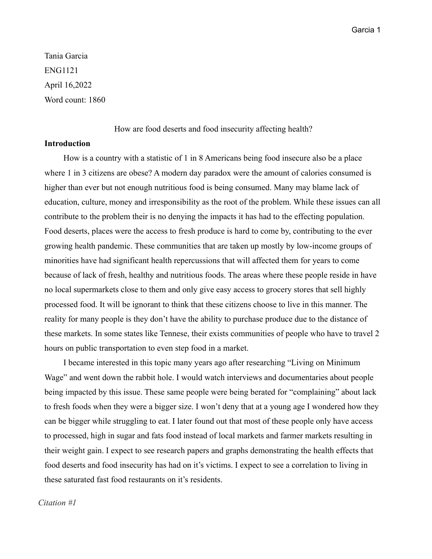Tania Garcia ENG1121 April 16,2022 Word count: 1860

How are food deserts and food insecurity affecting health?

# **Introduction**

How is a country with a statistic of 1 in 8 Americans being food insecure also be a place where 1 in 3 citizens are obese? A modern day paradox were the amount of calories consumed is higher than ever but not enough nutritious food is being consumed. Many may blame lack of education, culture, money and irresponsibility as the root of the problem. While these issues can all contribute to the problem their is no denying the impacts it has had to the effecting population. Food deserts, places were the access to fresh produce is hard to come by, contributing to the ever growing health pandemic. These communities that are taken up mostly by low-income groups of minorities have had significant health repercussions that will affected them for years to come because of lack of fresh, healthy and nutritious foods. The areas where these people reside in have no local supermarkets close to them and only give easy access to grocery stores that sell highly processed food. It will be ignorant to think that these citizens choose to live in this manner. The reality for many people is they don't have the ability to purchase produce due to the distance of these markets. In some states like Tennese, their exists communities of people who have to travel 2 hours on public transportation to even step food in a market.

I became interested in this topic many years ago after researching "Living on Minimum Wage" and went down the rabbit hole. I would watch interviews and documentaries about people being impacted by this issue. These same people were being berated for "complaining" about lack to fresh foods when they were a bigger size. I won't deny that at a young age I wondered how they can be bigger while struggling to eat. I later found out that most of these people only have access to processed, high in sugar and fats food instead of local markets and farmer markets resulting in their weight gain. I expect to see research papers and graphs demonstrating the health effects that food deserts and food insecurity has had on it's victims. I expect to see a correlation to living in these saturated fast food restaurants on it's residents.

# *Citation #1*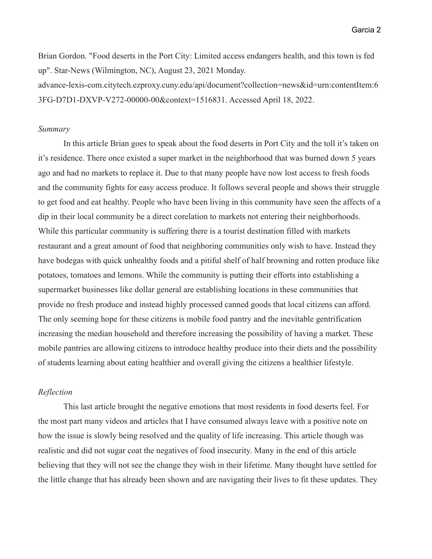Brian Gordon. "Food deserts in the Port City: Limited access endangers health, and this town is fed up". Star-News (Wilmington, NC), August 23, 2021 Monday.

advance-lexis-com.citytech.ezproxy.cuny.edu/api/document?collection=news&id=urn:contentItem:6 3FG-D7D1-DXVP-V272-00000-00&context=1516831. Accessed April 18, 2022.

#### *Summary*

In this article Brian goes to speak about the food deserts in Port City and the toll it's taken on it's residence. There once existed a super market in the neighborhood that was burned down 5 years ago and had no markets to replace it. Due to that many people have now lost access to fresh foods and the community fights for easy access produce. It follows several people and shows their struggle to get food and eat healthy. People who have been living in this community have seen the affects of a dip in their local community be a direct corelation to markets not entering their neighborhoods. While this particular community is suffering there is a tourist destination filled with markets restaurant and a great amount of food that neighboring communities only wish to have. Instead they have bodegas with quick unhealthy foods and a pitiful shelf of half browning and rotten produce like potatoes, tomatoes and lemons. While the community is putting their efforts into establishing a supermarket businesses like dollar general are establishing locations in these communities that provide no fresh produce and instead highly processed canned goods that local citizens can afford. The only seeming hope for these citizens is mobile food pantry and the inevitable gentrification increasing the median household and therefore increasing the possibility of having a market. These mobile pantries are allowing citizens to introduce healthy produce into their diets and the possibility of students learning about eating healthier and overall giving the citizens a healthier lifestyle.

# *Reflection*

This last article brought the negative emotions that most residents in food deserts feel. For the most part many videos and articles that I have consumed always leave with a positive note on how the issue is slowly being resolved and the quality of life increasing. This article though was realistic and did not sugar coat the negatives of food insecurity. Many in the end of this article believing that they will not see the change they wish in their lifetime. Many thought have settled for the little change that has already been shown and are navigating their lives to fit these updates. They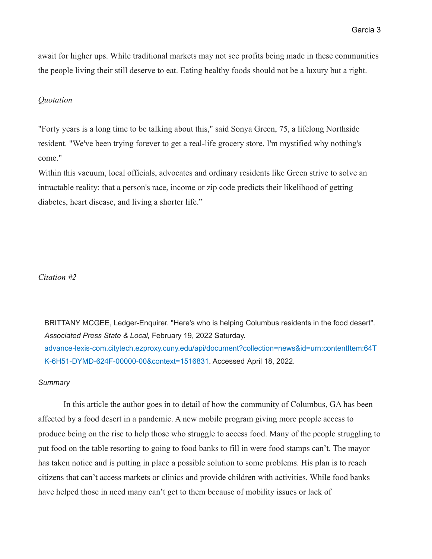await for higher ups. While traditional markets may not see profits being made in these communities the people living their still deserve to eat. Eating healthy foods should not be a luxury but a right.

## *Quotation*

"Forty years is a long time to be talking about this," said Sonya Green, 75, a lifelong Northside resident. "We've been trying forever to get a real-life grocery store. I'm mystified why nothing's come."

Within this vacuum, local officials, advocates and ordinary residents like Green strive to solve an intractable reality: that a person's race, income or zip code predicts their likelihood of getting diabetes, heart disease, and living a shorter life."

## *Citation #2*

BRITTANY MCGEE, Ledger-Enquirer. "Here's who is helping Columbus residents in the food desert". *Associated Press State & Local,* February 19, 2022 Saturday. advance-lexis-com.citytech.ezproxy.cuny.edu/api/document?collection=news&id=urn:contentItem:64T K-6H51-DYMD-624F-00000-00&context=1516831. Accessed April 18, 2022.

#### *Summary*

In this article the author goes in to detail of how the community of Columbus, GA has been affected by a food desert in a pandemic. A new mobile program giving more people access to produce being on the rise to help those who struggle to access food. Many of the people struggling to put food on the table resorting to going to food banks to fill in were food stamps can't. The mayor has taken notice and is putting in place a possible solution to some problems. His plan is to reach citizens that can't access markets or clinics and provide children with activities. While food banks have helped those in need many can't get to them because of mobility issues or lack of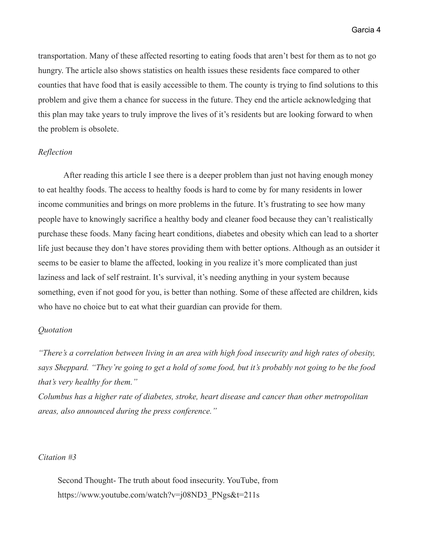transportation. Many of these affected resorting to eating foods that aren't best for them as to not go hungry. The article also shows statistics on health issues these residents face compared to other counties that have food that is easily accessible to them. The county is trying to find solutions to this problem and give them a chance for success in the future. They end the article acknowledging that this plan may take years to truly improve the lives of it's residents but are looking forward to when the problem is obsolete.

## *Reflection*

After reading this article I see there is a deeper problem than just not having enough money to eat healthy foods. The access to healthy foods is hard to come by for many residents in lower income communities and brings on more problems in the future. It's frustrating to see how many people have to knowingly sacrifice a healthy body and cleaner food because they can't realistically purchase these foods. Many facing heart conditions, diabetes and obesity which can lead to a shorter life just because they don't have stores providing them with better options. Although as an outsider it seems to be easier to blame the affected, looking in you realize it's more complicated than just laziness and lack of self restraint. It's survival, it's needing anything in your system because something, even if not good for you, is better than nothing. Some of these affected are children, kids who have no choice but to eat what their guardian can provide for them.

## *Quotation*

*"There's a correlation between living in an area with high food insecurity and high rates of obesity, says Sheppard. "They're going to get a hold of some food, but it's probably not going to be the food that's very healthy for them."*

*Columbus has a higher rate of diabetes, stroke, heart disease and cancer than other metropolitan areas, also announced during the press conference."*

#### *Citation #3*

Second Thought- The truth about food insecurity. YouTube, from https://www.youtube.com/watch?v=j08ND3\_PNgs&t=211s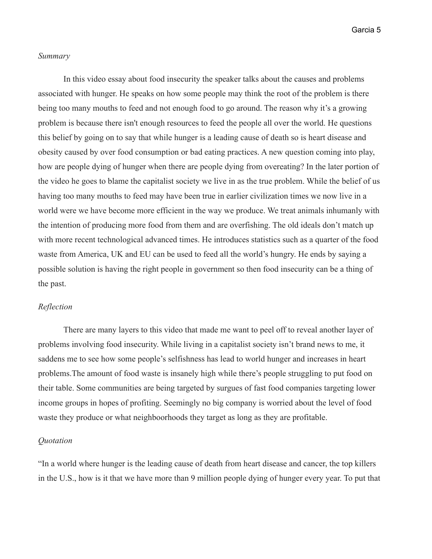### *Summary*

In this video essay about food insecurity the speaker talks about the causes and problems associated with hunger. He speaks on how some people may think the root of the problem is there being too many mouths to feed and not enough food to go around. The reason why it's a growing problem is because there isn't enough resources to feed the people all over the world. He questions this belief by going on to say that while hunger is a leading cause of death so is heart disease and obesity caused by over food consumption or bad eating practices. A new question coming into play, how are people dying of hunger when there are people dying from overeating? In the later portion of the video he goes to blame the capitalist society we live in as the true problem. While the belief of us having too many mouths to feed may have been true in earlier civilization times we now live in a world were we have become more efficient in the way we produce. We treat animals inhumanly with the intention of producing more food from them and are overfishing. The old ideals don't match up with more recent technological advanced times. He introduces statistics such as a quarter of the food waste from America, UK and EU can be used to feed all the world's hungry. He ends by saying a possible solution is having the right people in government so then food insecurity can be a thing of the past.

### *Reflection*

There are many layers to this video that made me want to peel off to reveal another layer of problems involving food insecurity. While living in a capitalist society isn't brand news to me, it saddens me to see how some people's selfishness has lead to world hunger and increases in heart problems.The amount of food waste is insanely high while there's people struggling to put food on their table. Some communities are being targeted by surgues of fast food companies targeting lower income groups in hopes of profiting. Seemingly no big company is worried about the level of food waste they produce or what neighboorhoods they target as long as they are profitable.

## *Quotation*

"In a world where hunger is the leading cause of death from heart disease and cancer, the top killers in the U.S., how is it that we have more than 9 million people dying of hunger every year. To put that